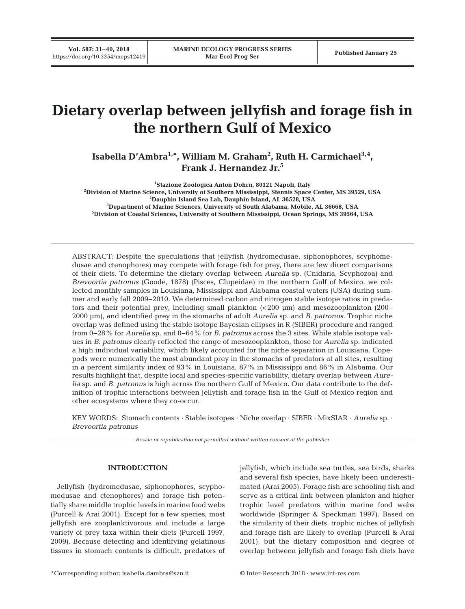# **Dietary overlap between jellyfish and forage fish in the northern Gulf of Mexico**

**Isabella D'Ambra1,\*, William M. Graham2 , Ruth H. Carmichael3,4, Frank J. Hernandez Jr.5**

 **Stazione Zoologica Anton Dohrn, 80121 Napoli, Italy Division of Marine Science, University of Southern Mississippi, Stennis Space Center, MS 39529, USA Dauphin Island Sea Lab, Dauphin Island, AL 36528, USA Department of Marine Sciences, University of South Alabama, Mobile, AL 36668, USA Division of Coastal Sciences, University of Southern Mississippi, Ocean Springs, MS 39564, USA**

ABSTRACT: Despite the speculations that jellyfish (hydromedusae, siphonophores, scyphomedusae and ctenophores) may compete with forage fish for prey, there are few direct comparisons of their diets. To determine the dietary overlap between *Aurelia* sp. (Cnidaria, Scyphozoa) and *Brevoortia patronus* (Goode, 1878) (Pisces, Clupeidae) in the northern Gulf of Mexico, we collected monthly samples in Louisiana, Mississippi and Alabama coastal waters (USA) during summer and early fall 2009−2010. We determined carbon and nitrogen stable isotope ratios in predators and their potential prey, including small plankton (<200 µm) and mesozooplankton (200− 2000 µm), and identified prey in the stomachs of adult *Aurelia* sp. and *B. patronus.* Trophic niche overlap was defined using the stable isotope Bayesian ellipses in R (SIBER) procedure and ranged from 0−28% for *Aurelia* sp. and 0−64% for *B. patronus* across the 3 sites. While stable isotope values in *B. patronus* clearly reflected the range of mesozooplankton, those for *Aurelia* sp. indicated a high individual variability, which likely accounted for the niche separation in Louisiana. Copepods were numerically the most abundant prey in the stomachs of predators at all sites, resulting in a percent similarity index of 93% in Louisiana, 87% in Mississippi and 86% in Alabama. Our results highlight that, despite local and species-specific variability, dietary overlap between *Aurelia* sp. and *B. patronus* is high across the northern Gulf of Mexico. Our data contribute to the definition of trophic interactions between jellyfish and forage fish in the Gulf of Mexico region and other ecosystems where they co-occur.

KEY WORDS: Stomach contents · Stable isotopes · Niche overlap · SIBER · MixSIAR · *Aurelia* sp. · *Brevoortia patronus*

*Resale or republication not permitted without written consent of the publisher*

# **INTRODUCTION**

Jellyfish (hydromedusae, siphonophores, scyphomedusae and ctenophores) and forage fish potentially share middle trophic levels in marine food webs (Purcell & Arai 2001). Except for a few species, most jellyfish are zooplanktivorous and include a large variety of prey taxa within their diets (Purcell 1997, 2009). Because detecting and identifying gelatinous tissues in stomach contents is difficult, predators of jellyfish, which include sea turtles, sea birds, sharks and several fish species, have likely been underestimated (Arai 2005). Forage fish are schooling fish and serve as a critical link between plankton and higher trophic level predators within marine food webs worldwide (Springer & Speckman 1997). Based on the similarity of their diets, trophic niches of jellyfish and forage fish are likely to overlap (Purcell & Arai 2001), but the dietary composition and degree of overlap between jellyfish and forage fish diets have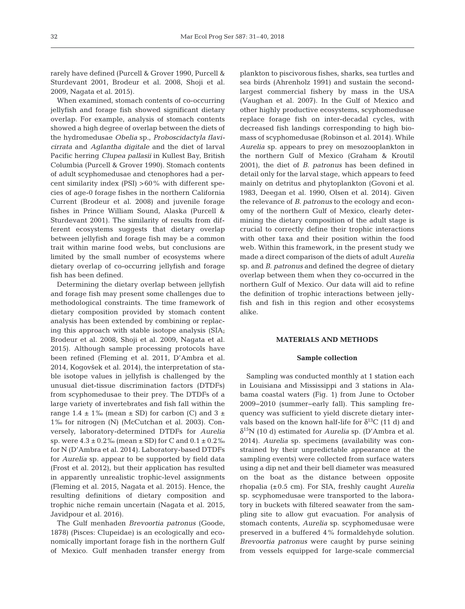rarely have defined (Purcell & Grover 1990, Purcell & Sturdevant 2001, Brodeur et al. 2008, Shoji et al. 2009, Nagata et al. 2015).

When examined, stomach contents of co-occurring jellyfish and forage fish showed significant dietary overlap. For example, analysis of stomach contents showed a high degree of overlap between the diets of the hydromedusae *Obelia* sp., *Proboscidactyla flavicirrata* and *Aglantha digitale* and the diet of larval Pacific herring *Clupea pallasii* in Kullest Bay, British Columbia (Purcell & Grover 1990). Stomach contents of adult scyphomedusae and ctenophores had a percent similarity index (PSI)  $>60\%$  with different species of age-0 forage fishes in the northern California Current (Brodeur et al. 2008) and juvenile forage fishes in Prince William Sound, Alaska (Purcell & Sturdevant 2001). The similarity of results from different ecosystems suggests that dietary overlap between jellyfish and forage fish may be a common trait within marine food webs, but conclusions are limited by the small number of ecosystems where dietary overlap of co-occurring jellyfish and forage fish has been defined.

Determining the dietary overlap between jellyfish and forage fish may present some challenges due to methodological constraints. The time framework of dietary composition provided by stomach content analysis has been extended by combining or replacing this approach with stable isotope analysis (SIA; Brodeur et al. 2008, Shoji et al. 2009, Nagata et al. 2015). Although sample processing protocols have been refined (Fleming et al. 2011, D'Ambra et al. 2014, Kogovšek et al. 2014), the interpretation of stable isotope values in jellyfish is challenged by the unusual diet-tissue discrimination factors (DTDFs) from scyphomedusae to their prey. The DTDFs of a large variety of invertebrates and fish fall within the range  $1.4 \pm 1\%$  (mean  $\pm$  SD) for carbon (C) and  $3 \pm$ 1‰ for nitrogen (N) (McCutchan et al. 2003). Conversely, laboratory-determined DTDFs for *Aurelia* sp. were  $4.3 \pm 0.2\%$  (mean  $\pm$  SD) for C and  $0.1 \pm 0.2\%$ for N (D'Ambra et al. 2014). Laboratory-based DTDFs for *Aurelia* sp. appear to be supported by field data (Frost et al. 2012), but their application has resulted in apparently unrealistic trophic-level assignments (Fleming et al. 2015, Nagata et al. 2015). Hence, the resulting definitions of dietary composition and trophic niche remain uncertain (Nagata et al. 2015, Javidpour et al. 2016).

The Gulf menhaden *Brevoortia patronus* (Goode, 1878) (Pisces: Clupeidae) is an ecologically and economically important forage fish in the northern Gulf of Mexico. Gulf menhaden transfer energy from plankton to piscivorous fishes, sharks, sea turtles and sea birds (Ahrenholz 1991) and sustain the secondlargest commercial fishery by mass in the USA (Vaughan et al. 2007). In the Gulf of Mexico and other highly productive ecosystems, scyphomedusae replace forage fish on inter-decadal cycles, with decreased fish landings corresponding to high biomass of scyphomedusae (Robinson et al. 2014). While *Aurelia* sp. appears to prey on mesozooplankton in the northern Gulf of Mexico (Graham & Kroutil 2001), the diet of *B. patronus* has been defined in detail only for the larval stage, which appears to feed mainly on detritus and phytoplankton (Govoni et al. 1983, Deegan et al. 1990, Olsen et al. 2014). Given the relevance of *B. patronus* to the ecology and economy of the northern Gulf of Mexico, clearly determining the dietary composition of the adult stage is crucial to correctly define their trophic interactions with other taxa and their position within the food web. Within this framework, in the present study we made a direct comparison of the diets of adult *Aurelia* sp. and *B. patronus* and defined the degree of dietary overlap between them when they co-occurred in the northern Gulf of Mexico. Our data will aid to refine the definition of trophic interactions between jellyfish and fish in this region and other ecosystems alike.

## **MATERIALS AND METHODS**

#### **Sample collection**

Sampling was conducted monthly at 1 station each in Louisiana and Mississippi and 3 stations in Alabama coastal waters (Fig. 1) from June to October 2009−2010 (summer−early fall). This sampling frequency was sufficient to yield discrete dietary intervals based on the known half-life for  $\delta^{13}C$  (11 d) and δ15N (10 d) estimated for *Aurelia* sp. (D'Ambra et al. 2014). *Aurelia* sp. specimens (availability was constrained by their unpredictable appearance at the sampling events) were collected from surface waters using a dip net and their bell diameter was measured on the boat as the distance between opposite rhopalia (±0.5 cm). For SIA, freshly caught *Aurelia* sp. scyphomedusae were transported to the laboratory in buckets with filtered seawater from the sampling site to allow gut evacuation. For analysis of stomach contents, *Aurelia* sp. scyphomedusae were preserved in a buffered 4% formaldehyde solution. *Brevoortia patronus* were caught by purse seining from vessels equipped for large-scale commercial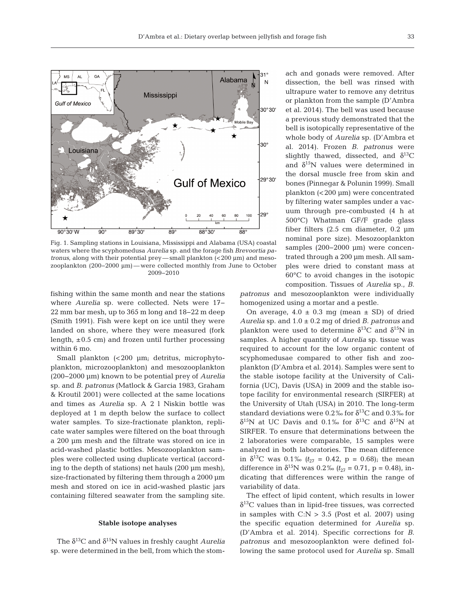

Fig. 1. Sampling stations in Louisiana, Mississippi and Alabama (USA) coastal waters where the scyphomedusa *Aurelia* sp. and the forage fish *Brevoortia patronus*, along with their potential prey— small plankton (<200 μm) and mesozooplankton (200−2000 μm)— were collected monthly from June to October 2009−2010

fishing within the same month and near the stations where *Aurelia* sp. were collected. Nets were 17− 22 mm bar mesh, up to 365 m long and 18−22 m deep (Smith 1991). Fish were kept on ice until they were landed on shore, where they were measured (fork length,  $\pm 0.5$  cm) and frozen until further processing within 6 mo.

Small plankton (<200 µm; detritus, microphytoplankton, microzooplankton) and mesozooplankton (200−2000 µm) known to be potential prey of *Aurelia* sp. and *B. patronus* (Matlock & Garcia 1983, Graham & Kroutil 2001) were collected at the same locations and times as *Aurelia* sp. A 2 l Niskin bottle was deployed at 1 m depth below the surface to collect water samples. To size-fractionate plankton, replicate water samples were filtered on the boat through a 200 µm mesh and the filtrate was stored on ice in acid-washed plastic bottles. Mesozooplankton samples were collected using duplicate vertical (according to the depth of stations) net hauls (200 µm mesh), size-fractionated by filtering them through a 2000 µm mesh and stored on ice in acid-washed plastic jars containing filtered seawater from the sampling site.

#### **Stable isotope analyses**

The  $\delta^{13}$ C and  $\delta^{15}$ N values in freshly caught *Aurelia* sp. were determined in the bell, from which the stomach and gonads were removed. After dissection, the bell was rinsed with ultrapure water to remove any detritus or plankton from the sample (D'Ambra et al. 2014). The bell was used because a previous study demonstrated that the bell is isotopically representative of the whole body of *Aurelia* sp. (D'Ambra et al. 2014). Frozen *B. patronus* were slightly thawed, dissected, and  $\delta^{13}C$ and  $\delta^{15}$ N values were determined in the dorsal muscle free from skin and bones (Pinnegar & Polunin 1999). Small plankton (<200 µm) were concentrated by filtering water samples under a vacuum through pre-combusted (4 h at 500°C) Whatman GF/F grade glass fiber filters (2.5 cm diameter, 0.2 µm nominal pore size). Mesozooplankton samples (200–2000 μm) were concentrated through a 200 µm mesh. All samples were dried to constant mass at 60°C to avoid changes in the isotopic composition. Tissues of *Aurelia* sp., *B.*

*patronus* and mesozooplankton were individually homogenized using a mortar and a pestle.

On average,  $4.0 \pm 0.3$  mg (mean  $\pm$  SD) of dried *Aurelia* sp. and 1.0 ± 0.2 mg of dried *B. patronus* and plankton were used to determine  $\delta^{13}$ C and  $\delta^{15}$ N in samples. A higher quantity of *Aurelia* sp. tissue was required to account for the low organic content of scyphomedusae compared to other fish and zooplankton (D'Ambra et al. 2014). Samples were sent to the stable isotope facility at the University of California (UC), Davis (USA) in 2009 and the stable isotope facility for environmental research (SIRFER) at the University of Utah (USA) in 2010. The long-term standard deviations were 0.2‰ for  $\delta^{13}$ C and 0.3‰ for  $δ<sup>15</sup>N$  at UC Davis and 0.1‰ for  $δ<sup>13</sup>C$  and  $δ<sup>15</sup>N$  at SIRFER. To ensure that determinations between the 2 laboratories were comparable, 15 samples were analyzed in both laboratories. The mean difference in  $\delta^{13}$ C was 0.1<sup>%</sup>  $(t_{27} = 0.42, p = 0.68)$ ; the mean difference in  $\delta^{15}N$  was 0.2‰ ( $t_{27} = 0.71$ , p = 0.48), indicating that differences were within the range of variability of data.

The effect of lipid content, which results in lower  $\delta^{13}$ C values than in lipid-free tissues, was corrected in samples with  $C:N > 3.5$  (Post et al. 2007) using the specific equation determined for *Aurelia* sp. (D'Ambra et al. 2014). Specific corrections for *B. patronus* and mesozooplankton were defined following the same protocol used for *Aurelia* sp. Small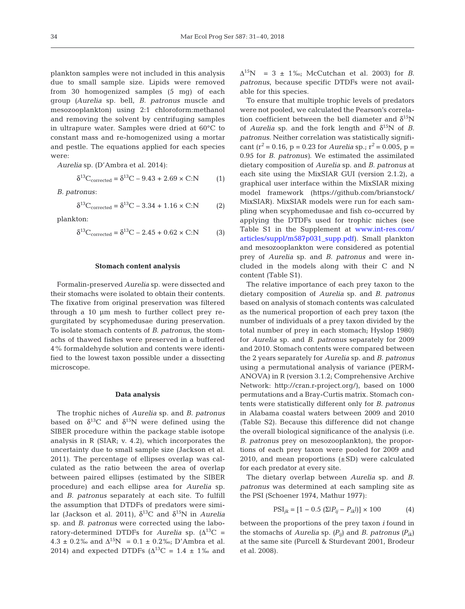plankton samples were not included in this analysis due to small sample size. Lipids were removed from 30 homogenized samples (5 mg) of each group *(Aurelia* sp. bell, *B. patronus* muscle and mesozooplankton) using 2:1 chloroform:methanol and removing the solvent by centrifuging samples in ultrapure water. Samples were dried at 60°C to constant mass and re-homogenized using a mortar and pestle. The equations applied for each species were:

*Aurelia* sp. (D'Ambra et al. 2014):

$$
\delta^{13}C_{\text{corrected}} = \delta^{13}C - 9.43 + 2.69 \times C:\text{N} \tag{1}
$$

*B. patronus*:

$$
\delta^{13}C_{\text{corrected}} = \delta^{13}C - 3.34 + 1.16 \times C:\text{N} \tag{2}
$$

plankton:

 $\delta^{13}C_{\text{corrected}} = \delta^{13}C - 2.45 + 0.62 \times C:N$  (3)

#### **Stomach content analysis**

Formalin-preserved *Aurelia* sp. were dissected and their stomachs were isolated to obtain their contents. The fixative from original preservation was filtered through a 10 µm mesh to further collect prey re gurgitated by scyphomedusae during preservation. To isolate stomach contents of *B. patronus*, the stomachs of thawed fishes were preserved in a buffered 4% formaldehyde solution and contents were identified to the lowest taxon possible under a dissecting microscope.

#### **Data analysis**

The trophic niches of *Aurelia* sp. and *B. patronus* based on  $\delta^{13}$ C and  $\delta^{15}$ N were defined using the SIBER procedure within the package stable isotope analysis in R (SIAR; v. 4.2), which incorporates the uncertainty due to small sample size (Jackson et al. 2011). The percentage of ellipses overlap was calculated as the ratio between the area of overlap between paired ellipses (estimated by the SIBER procedure) and each ellipse area for *Aurelia* sp. and *B. patronus* separately at each site. To fulfill the assumption that DTDFs of predators were similar (Jackson et al. 2011),  $\delta^{13}$ C and  $\delta^{15}$ N in *Aurelia* sp. and *B. patronus* were corrected using the laboratory-determined DTDFs for *Aurelia* sp.  $(\Delta^{13}C =$  $4.3 \pm 0.2\%$  and  $\Delta^{15}N = 0.1 \pm 0.2\%$ ; D'Ambra et al. 2014) and expected DTDFs ( $\Delta^{13}$ C = 1.4 ± 1‰ and

 $\Delta^{15}$ N = 3 ± 1‰; McCutchan et al. 2003) for *B*. *patronus*, because specific DTDFs were not available for this species.

To ensure that multiple trophic levels of predators were not pooled, we calculated the Pearson's correlation coefficient between the bell diameter and  $\delta^{15}N$ of *Aurelia* sp. and the fork length and  $\delta^{15}N$  of *B*. *patronus*. Neither correlation was statistically significant ( $r^2$  = 0.16, p = 0.23 for *Aurelia* sp.;  $r^2$  = 0.005, p = 0.95 for *B. patronus)*. We estimated the assimilated dietary composition of *Aurelia* sp. and *B. patronus* at each site using the MixSIAR GUI (version 2.1.2), a graphical user interface within the MixSIAR mixing model framework (https://github.com/brianstock/ MixSIAR). MixSIAR models were run for each sampling when scyphomedusae and fish co-occurred by applying the DTDFs used for trophic niches (see Table S1 in the Supplement at [www. int-res. com/](http://www.int-res.com/articles/suppl/m587p031_supp.pdf) articles/suppl/m587p031\_supp.pdf). Small plankton and mesozooplankton were considered as potential prey of *Aurelia* sp. and *B. patronus* and were included in the models along with their C and N content (Table S1).

The relative importance of each prey taxon to the dietary composition of *Aurelia* sp. and *B. patronus* based on analysis of stomach contents was calculated as the numerical proportion of each prey taxon (the number of individuals of a prey taxon divided by the total number of prey in each stomach; Hyslop 1980) for *Aurelia* sp. and *B. patronus* separately for 2009 and 2010. Stomach contents were compared between the 2 years separately for *Aurelia* sp. and *B. patronus* using a permutational analysis of variance (PERM-ANOVA) in R (version 3.1.2; Comprehensive Archive Network: http://cran.r-project.org/), based on 1000 permutations and a Bray-Curtis matrix. Stomach contents were statistically different only for *B. patronus* in Alabama coastal waters between 2009 and 2010 (Table S2). Because this difference did not change the overall biological significance of the analysis (i.e. *B. patronus* prey on mesozooplankton), the proportions of each prey taxon were pooled for 2009 and 2010, and mean proportions  $(\pm SD)$  were calculated for each predator at every site.

The dietary overlap between *Aurelia* sp. and *B. patronus* was determined at each sampling site as the PSI (Schoener 1974, Mathur 1977):

$$
PSI_{jk} = [1 - 0.5 (\Sigma | P_{ij} - P_{ik}|)] \times 100
$$
 (4)

between the proportions of the prey taxon *i* found in the stomachs of *Aurelia* sp.  $(P_{ii})$  and *B. patronus*  $(P_{ik})$ at the same site (Purcell & Sturdevant 2001, Brodeur et al. 2008).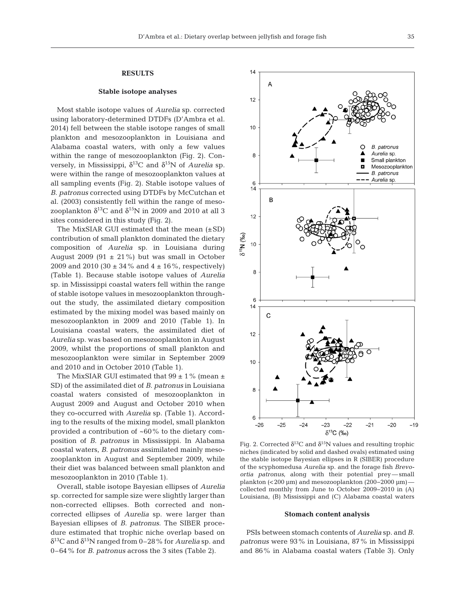# **RESULTS**

# **Stable isotope analyses**

Most stable isotope values of *Aurelia* sp. corrected using laboratory-determined DTDFs (D'Ambra et al. 2014) fell between the stable isotope ranges of small plankton and mesozooplankton in Louisiana and Alabama coastal waters, with only a few values within the range of mesozooplankton (Fig. 2). Conversely, in Mississippi,  $δ<sup>13</sup>C$  and  $δ<sup>15</sup>N$  of *Aurelia* sp. were within the range of mesozooplankton values at all sampling events (Fig. 2). Stable isotope values of *B. patronus* corrected using DTDFs by McCutchan et al. (2003) consistently fell within the range of mesozooplankton  $\delta^{13}$ C and  $\delta^{15}$ N in 2009 and 2010 at all 3 sites considered in this study (Fig. 2).

The MixSIAR GUI estimated that the mean  $(\pm SD)$ contribution of small plankton dominated the dietary composition of *Aurelia* sp. in Louisiana during August 2009 (91  $\pm$  21%) but was small in October 2009 and 2010 (30  $\pm$  34% and 4  $\pm$  16%, respectively) (Table 1). Because stable isotope values of *Aurelia* sp. in Mississippi coastal waters fell within the range of stable isotope values in mesozooplankton throughout the study, the assimilated dietary composition estimated by the mixing model was based mainly on mesozooplankton in 2009 and 2010 (Table 1). In Louisiana coastal waters, the assimilated diet of *Aurelia* sp. was based on mesozooplankton in August 2009, whilst the proportions of small plankton and mesozooplankton were similar in September 2009 and 2010 and in October 2010 (Table 1).

The MixSIAR GUI estimated that  $99 \pm 1\%$  (mean  $\pm$ SD) of the assimilated diet of *B. patronus* in Louisiana coastal waters consisted of mesozooplankton in August 2009 and August and October 2010 when they co-occurred with *Aurelia* sp. (Table 1). According to the results of the mixing model, small plankton provided a contribution of ~60% to the dietary composition of *B. patronus* in Mississippi. In Alabama coastal waters, *B. patronus* assimilated mainly mesozooplankton in August and September 2009, while their diet was balanced between small plankton and mesozooplankton in 2010 (Table 1).

Overall, stable isotope Bayesian ellipses of *Aurelia* sp. corrected for sample size were slightly larger than non-corrected ellipses. Both corrected and noncorrected ellipses of *Aurelia* sp. were larger than Bayesian ellipses of *B. patronus*. The SIBER procedure estimated that trophic niche overlap based on δ13C and δ15N ranged from 0–28% for *Aurelia* sp. and 0–64% for *B. patronus* across the 3 sites (Table 2).



Fig. 2. Corrected  $\delta^{13}$ C and  $\delta^{15}$ N values and resulting trophic niches (indicated by solid and dashed ovals) estimated using the stable isotope Bayesian ellipses in R (SIBER) procedure of the scyphomedusa *Aurelia* sp. and the forage fish *Brevo ortia patronus*, along with their potential prey— small plankton (<200 µm) and mesozooplankton (200−2000 µm) collected monthly from June to October 2009−2010 in (A) Louisiana, (B) Mississippi and (C) Alabama coastal waters

#### **Stomach content analysis**

PSIs between stomach contents of *Aurelia* sp. and *B. patronus* were 93% in Louisiana, 87% in Mississippi and 86% in Alabama coastal waters (Table 3). Only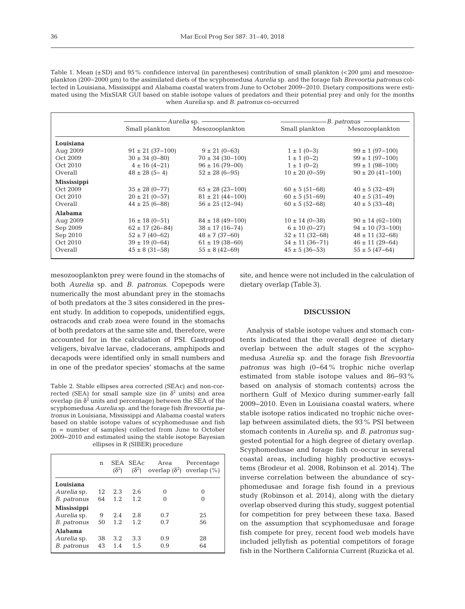Table 1. Mean  $(\pm SD)$  and 95% confidence interval (in parentheses) contribution of small plankton  $\langle 200 \text{ \text{µm}} \rangle$  and mesozooplankton (200−2000 µm) to the assimilated diets of the scyphomedusa *Aurelia* sp. and the forage fish *Brevoortia patronus* collected in Louisiana, Mississippi and Alabama coastal waters from June to October 2009−2010. Dietary compositions were estimated using the MixSIAR GUI based on stable isotope values of predators and their potential prey and only for the months when *Aurelia* sp. and *B. patronus* co-occurred

|                    | - <i>Aurelia</i> sp. |                        | -B. patronus          |                        |  |  |
|--------------------|----------------------|------------------------|-----------------------|------------------------|--|--|
|                    | Small plankton       | Mesozooplankton        | Small plankton        | Mesozooplankton        |  |  |
| Louisiana          |                      |                        |                       |                        |  |  |
| Aug 2009           | $91 \pm 21$ (37-100) | $9 \pm 21 (0 - 63)$    | $1 \pm 1 (0-3)$       | $99 \pm 1 (97 - 100)$  |  |  |
| Oct 2009           | $30 \pm 34 (0 - 80)$ | $70 \pm 34$ (30-100)   | $1 \pm 1 (0-2)$       | $99 \pm 1 (97 - 100)$  |  |  |
| Oct 2010           | $4 \pm 16(4 - 21)$   | $96 \pm 16 (79 - 00)$  | $1 \pm 1 (0-2)$       | $99 \pm 1 (98 - 100)$  |  |  |
| Overall            | $48 \pm 28 (5 - 4)$  | $52 \pm 28 (6 - 95)$   | $10 \pm 20 (0 - 59)$  | $90 \pm 20 (41 - 100)$ |  |  |
| <b>Mississippi</b> |                      |                        |                       |                        |  |  |
| Oct 2009           | $35 \pm 28 (0 - 77)$ | $65 \pm 28$ (23-100)   | $60 \pm 5 (51 - 68)$  | $40 \pm 5 (32 - 49)$   |  |  |
| Oct 2010           | $20 \pm 21 (0 - 57)$ | $81 \pm 21 (44 - 100)$ | $60 \pm 5 (51 - 69)$  | $40 \pm 5 (31 - 49)$   |  |  |
| Overall            | $44 \pm 25 (6 - 88)$ | $56 \pm 25 (12 - 94)$  | $60 \pm 5 (52 - 68)$  | $40 \pm 5 (33 - 48)$   |  |  |
| <b>Alabama</b>     |                      |                        |                       |                        |  |  |
| Aug 2009           | $16 \pm 18$ (0-51)   | $84 \pm 18$ (49-100)   | $10 \pm 14 (0 - 38)$  | $90 \pm 14$ (62-100)   |  |  |
| Sep 2009           | $62 \pm 17$ (26-84)  | $38 \pm 17 (16 - 74)$  | $6 \pm 10 (0 - 27)$   | $94 \pm 10$ (73-100)   |  |  |
| Sep 2010           | $52 \pm 7(40 - 62)$  | $48 \pm 7$ (37–60)     | $52 \pm 11 (32 - 68)$ | $48 \pm 11$ (32-68)    |  |  |
| Oct 2010           | $39 \pm 19 (0 - 64)$ | $61 \pm 19$ (38-60)    | $54 \pm 11 (36 - 71)$ | $46 \pm 11$ (29-64)    |  |  |
| Overall            | $45 \pm 8$ (31-58)   | $55 \pm 8 (42 - 69)$   | $45 \pm 5 (36 - 53)$  | $55 \pm 5 (47 - 64)$   |  |  |

mesozooplankton prey were found in the stomachs of both *Aurelia* sp. and *B. patronus*. Copepods were numerically the most abundant prey in the stomachs of both predators at the 3 sites considered in the present study. In addition to copepods, unidentified eggs, ostracods and crab zoea were found in the stomachs of both predators at the same site and, therefore, were accounted for in the calculation of PSI. Gastropod veligers, bivalve larvae, cladocerans, amphipods and decapods were identified only in small numbers and in one of the predator species' stomachs at the same

Table 2. Stable ellipses area corrected (SEAc) and non-corrected (SEA) for small sample size (in  $\delta^2$  units) and area overlap (in  $\delta^2$  units and percentage) between the SEA of the scyphomedusa *Aurelia* sp. and the forage fish *Brevoortia patronus* in Louisiana, Mississippi and Alabama coastal waters based on stable isotope values of scyphomedusae and fish (n = number of samples) collected from June to October 2009−2010 and estimated using the stable isotope Bayesian ellipses in R (SIBER) procedure

|                    | n  | SEA.<br>$(\delta^2)$ | <b>SEAc</b><br>$(\delta^2)$ | Area<br>overlap $(\delta^2)$ | Percentage<br>overlap $(\% )$ |
|--------------------|----|----------------------|-----------------------------|------------------------------|-------------------------------|
| Louisiana          |    |                      |                             |                              |                               |
| Aurelia sp.        | 12 | 2.3                  | 2.6                         | 0                            | $\Omega$                      |
| <i>B. patronus</i> | 64 | 1.2                  | 1.2                         |                              | $\Omega$                      |
| <b>Mississippi</b> |    |                      |                             |                              |                               |
| Aurelia sp.        | 9  | 2.4                  | 2.8                         | 0.7                          | 25                            |
| <i>B. patronus</i> | 50 | 1.2.                 | 1.2                         | 0.7                          | 56                            |
| Alahama            |    |                      |                             |                              |                               |
| Aurelia sp.        | 38 | 3.2                  | 3.3                         | 0.9                          | 28                            |
| B. patronus        | 43 | 1.4                  | 1.5                         | 0.9                          | 64                            |

site, and hence were not included in the calculation of dietary overlap (Table 3).

# **DISCUSSION**

Analysis of stable isotope values and stomach contents indicated that the overall degree of dietary overlap between the adult stages of the scyphomedusa *Aurelia* sp. and the forage fish *Brevoortia patronus* was high (0−64% trophic niche overlap estimated from stable isotope values and 86−93% based on analysis of stomach contents) across the northern Gulf of Mexico during summer-early fall 2009−2010. Even in Louisiana coastal waters, where stable isotope ratios indicated no trophic niche overlap between assimilated diets, the 93% PSI between stomach contents in *Aurelia* sp. and *B. patronus* suggested potential for a high degree of dietary overlap. Scyphomedusae and forage fish co-occur in several coastal areas, including highly productive ecosystems (Brodeur et al. 2008, Robinson et al. 2014). The inverse correlation between the abundance of scy phomedusae and forage fish found in a previous study (Robinson et al. 2014), along with the dietary overlap observed during this study, suggest potential for competition for prey between these taxa. Based on the assumption that scyphomedusae and forage fish compete for prey, recent food web models have included jellyfish as potential competitors of forage fish in the Northern California Current (Ruzicka et al.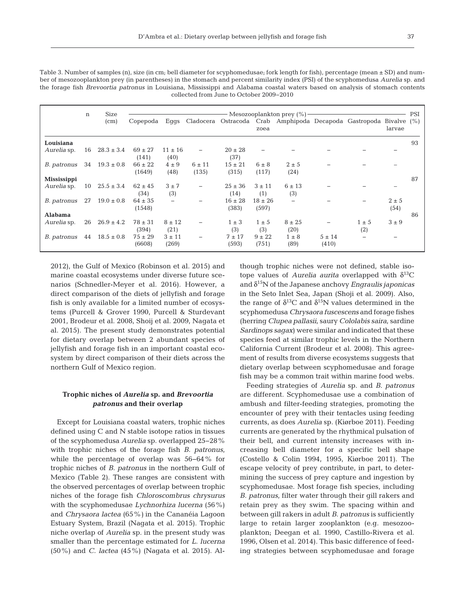Table 3. Number of samples (n), size (in cm; bell diameter for scyphomedusae; fork length for fish), percentage (mean  $\pm$  SD) and number of mesozooplankton prey (in parentheses) in the stomach and percent similarity index (PSI) of the scyphomedusa *Aurelia* sp. and the forage fish *Brevoortia patronus* in Louisiana, Mississippi and Alabama coastal waters based on analysis of stomach contents collected from June to October 2009−2010

|                    | n  | Size              | - Mesozooplankton prey (%)- |                          |                     |                      |                      |                          |                     | PSI              |                                                                              |    |
|--------------------|----|-------------------|-----------------------------|--------------------------|---------------------|----------------------|----------------------|--------------------------|---------------------|------------------|------------------------------------------------------------------------------|----|
|                    |    | (c <sub>m</sub> ) | Copepoda                    | Eggs                     |                     |                      | zoea                 |                          |                     |                  | Cladocera Ostracoda Crab Amphipoda Decapoda Gastropoda Bivalve (%)<br>larvae |    |
| Louisiana          |    |                   |                             |                          |                     |                      |                      |                          |                     |                  |                                                                              | 93 |
| Aurelia sp.        | 16 | $28.3 \pm 3.4$    | $69 \pm 27$<br>(141)        | $11 \pm 16$<br>(40)      |                     | $20 \pm 28$<br>(37)  |                      |                          |                     |                  |                                                                              |    |
| B. patronus        | 34 | $19.3 \pm 0.8$    | $66 \pm 22$<br>(1649)       | $4 \pm 9$<br>(48)        | $6 \pm 11$<br>(135) | $15 \pm 21$<br>(315) | $6 \pm 8$<br>(117)   | $2 \pm 5$<br>(24)        |                     |                  |                                                                              |    |
| <b>Mississippi</b> |    |                   |                             |                          |                     |                      |                      |                          |                     |                  |                                                                              | 87 |
| Aurelia sp.        | 10 | $25.5 \pm 3.4$    | $62 \pm 45$<br>(34)         | $3 \pm 7$<br>(3)         |                     | $25 \pm 36$<br>(14)  | $3 \pm 11$<br>(1)    | $6 \pm 13$<br>(3)        |                     |                  |                                                                              |    |
| B. patronus        | 27 | $19.0 \pm 0.8$    | $64 \pm 35$<br>(1548)       | $\overline{\phantom{0}}$ |                     | $16 \pm 28$<br>(383) | $18 \pm 26$<br>(597) | $\overline{\phantom{0}}$ |                     |                  | $2 \pm 5$<br>(54)                                                            |    |
| <b>Alabama</b>     |    |                   |                             |                          |                     |                      |                      |                          |                     |                  |                                                                              | 86 |
| Aurelia sp.        | 26 | $26.9 \pm 4.2$    | $78 \pm 31$<br>(394)        | $8 \pm 12$<br>(21)       |                     | $1 \pm 3$<br>(3)     | $1 \pm 5$<br>(3)     | $8 \pm 25$<br>(20)       |                     | $1 \pm 5$<br>(2) | $3 \pm 9$                                                                    |    |
| B. patronus        | 44 | $18.5 \pm 0.8$    | $75 \pm 29$<br>(6608)       | $3 \pm 11$<br>(269)      |                     | $7 + 17$<br>(593)    | $9 \pm 22$<br>(751)  | $1 \pm 8$<br>(89)        | $5 \pm 14$<br>(410) |                  |                                                                              |    |

2012), the Gulf of Mexico (Robinson et al. 2015) and marine coastal ecosystems under diverse future scenarios (Schnedler-Meyer et al. 2016). However, a direct comparison of the diets of jellyfish and forage fish is only available for a limited number of ecosystems (Purcell & Grover 1990, Purcell & Sturdevant 2001, Brodeur et al. 2008, Shoij et al. 2009, Nagata et al. 2015). The present study demonstrates potential for dietary overlap between 2 abundant species of jellyfish and forage fish in an important coastal ecosystem by direct comparison of their diets across the northern Gulf of Mexico region.

# **Trophic niches of** *Aurelia* **sp. and** *Brevoortia patronus* **and their overlap**

Except for Louisiana coastal waters, trophic niches defined using C and N stable isotope ratios in tissues of the scyphomedusa *Aurelia* sp. overlapped 25−28% with trophic niches of the forage fish *B. patronus*, while the percentage of overlap was 56−64% for trophic niches of *B. patronus* in the northern Gulf of Mexico (Table 2). These ranges are consistent with the observed percentages of overlap between trophic niches of the forage fish *Chloroscombrus chrysurus* with the scyphomedusae *Lychnorhiza lucerna* (56%) and *Chrysaora lactea* (65%*)* in the Cananéia Lagoon Estuary System, Brazil (Nagata et al. 2015). Trophic niche overlap of *Aurelia* sp. in the present study was smaller than the percentage estimated for *L. lucerna* (50%) and *C. lactea* (45%) (Nagata et al. 2015). Although trophic niches were not defined, stable isotope values of *Aurelia aurita* overlapped with  $\delta^{13}$ C and δ15N of the Japanese anchovy *Engraulis japonicas* in the Seto Inlet Sea, Japan (Shoji et al. 2009). Also, the range of  $\delta^{13}C$  and  $\delta^{15}N$  values determined in the scyphomedusa *Chrysaora fuscescens* and forage fishes (herring *Clupea pallasii*, saury *Cololabis saira*, sardine *Sardinops sagax*) were similar and indicated that these species feed at similar trophic levels in the Northern California Current (Brodeur et al. 2008). This agreement of results from diverse ecosystems suggests that dietary overlap between scyphomedusae and forage fish may be a common trait within marine food webs.

Feeding strategies of *Aurelia* sp. and *B. patronus* are different. Scyphomedusae use a combination of ambush and filter-feeding strategies, promoting the encounter of prey with their tentacles using feeding currents, as does *Aurelia* sp. (Kiørboe 2011). Feeding currents are generated by the rhythmical pulsation of their bell, and current intensity increases with in creasing bell diameter for a specific bell shape (Costello & Colin 1994, 1995, Kiørboe 2011). The escape velocity of prey contribute, in part, to determining the success of prey capture and ingestion by scyphomedusae. Most forage fish species, including *B. patronus*, filter water through their gill rakers and retain prey as they swim. The spacing within and between gill rakers in adult *B. patronus* is sufficiently large to retain larger zooplankton (e.g. mesozooplankton; Deegan et al. 1990, Castillo-Rivera et al. 1996, Olsen et al. 2014). This basic difference of feeding strategies between scyphomedusae and forage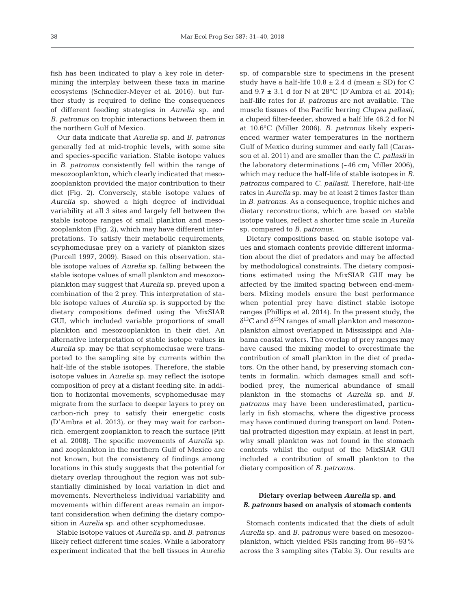fish has been indicated to play a key role in determining the interplay between these taxa in marine ecosystems (Schnedler-Meyer et al. 2016), but further study is required to define the consequences of different feeding strategies in *Aurelia* sp. and *B. patronus* on trophic interactions between them in the northern Gulf of Mexico.

Our data indicate that *Aurelia* sp. and *B. patronus* generally fed at mid-trophic levels, with some site and species-specific variation. Stable isotope values in *B. patronus* consistently fell within the range of mesozooplankton, which clearly indicated that mesozooplankton provided the major contribution to their diet (Fig. 2). Conversely, stable isotope values of *Aurelia* sp. showed a high degree of individual variability at all 3 sites and largely fell between the stable isotope ranges of small plankton and mesozooplankton (Fig. 2), which may have different interpretations. To satisfy their metabolic requirements, scyphomedusae prey on a variety of plankton sizes (Purcell 1997, 2009). Based on this observation, stable isotope values of *Aurelia* sp. falling between the stable isotope values of small plankton and mesozooplankton may suggest that *Aurelia* sp. preyed upon a combination of the 2 prey. This interpretation of stable isotope values of *Aurelia* sp. is supported by the dietary compositions defined using the MixSIAR GUI, which included variable proportions of small plankton and mesozooplankton in their diet. An alternative interpretation of stable isotope values in *Aurelia* sp. may be that scyphomedusae were transported to the sampling site by currents within the half-life of the stable isotopes. Therefore, the stable isotope values in *Aurelia* sp. may reflect the isotope composition of prey at a distant feeding site. In addition to horizontal movements, scyphomedusae may migrate from the surface to deeper layers to prey on carbon-rich prey to satisfy their energetic costs (D'Ambra et al. 2013), or they may wait for carbonrich, emergent zooplankton to reach the surface (Pitt et al. 2008). The specific movements of *Aurelia* sp. and zooplankton in the northern Gulf of Mexico are not known, but the consistency of findings among locations in this study suggests that the potential for dietary overlap throughout the region was not substantially diminished by local variation in diet and movements. Nevertheless individual variability and movements within different areas remain an important consideration when defining the dietary composition in *Aurelia* sp. and other scyphomedusae.

Stable isotope values of *Aurelia* sp. and *B. patronus* likely reflect different time scales. While a laboratory experiment indicated that the bell tissues in *Aurelia*

sp. of comparable size to specimens in the present study have a half-life  $10.8 \pm 2.4$  d (mean  $\pm$  SD) for C and  $9.7 \pm 3.1$  d for N at 28°C (D'Ambra et al. 2014); half-life rates for *B. patronus* are not available. The muscle tissues of the Pacific herring *Clupea pallasii*, a clupeid filter-feeder, showed a half life 46.2 d for N at 10.6°C (Miller 2006). *B. patronus* likely experienced warmer water temperatures in the northern Gulf of Mexico during summer and early fall (Carassou et al. 2011) and are smaller than the *C. pallasii* in the laboratory determinations (~46 cm; Miller 2006), which may reduce the half-life of stable isotopes in *B. patronus* compared to *C. pallasii*. Therefore, half-life rates in *Aurelia* sp. may be at least 2 times faster than in *B. patronus*. As a consequence, trophic niches and dietary reconstructions, which are based on stable isotope values, reflect a shorter time scale in *Aurelia* sp. compared to *B. patronus*.

Dietary compositions based on stable isotope values and stomach contents provide different information about the diet of predators and may be affected by methodological constraints. The dietary compositions estimated using the MixSIAR GUI may be affected by the limited spacing between end-members. Mixing models ensure the best performance when potential prey have distinct stable isotope ranges (Phillips et al. 2014). In the present study, the  $\delta^{13}$ C and  $\delta^{15}$ N ranges of small plankton and mesozooplankton almost overlapped in Mississippi and Alabama coastal waters. The overlap of prey ranges may have caused the mixing model to overestimate the contribution of small plankton in the diet of predators. On the other hand, by preserving stomach contents in formalin, which damages small and softbodied prey, the numerical abundance of small plankton in the stomachs of *Aurelia* sp. and *B. patronus* may have been underestimated, particularly in fish stomachs, where the digestive process may have continued during transport on land. Potential protracted digestion may explain, at least in part, why small plankton was not found in the stomach contents whilst the output of the MixSIAR GUI included a contribution of small plankton to the dietary composition of *B. patronus*.

# **Dietary overlap between** *Aurelia* **sp. and** *B. patronus* **based on analysis of stomach contents**

Stomach contents indicated that the diets of adult *Aurelia* sp. and *B. patronus* were based on mesozooplankton, which yielded PSIs ranging from 86–93% across the 3 sampling sites (Table 3). Our results are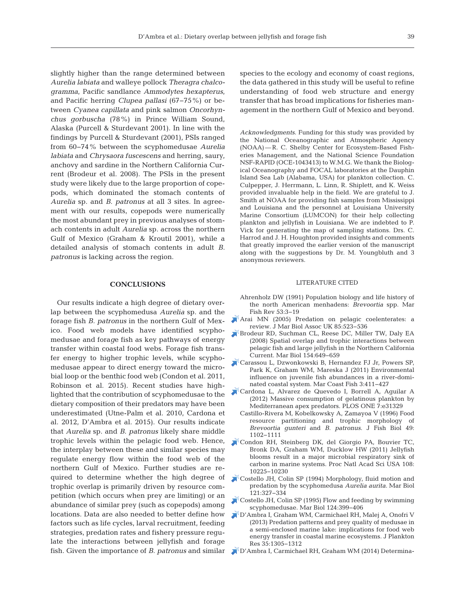slightly higher than the range determined between *Aurelia labiata* and walleye pollock *Theragra chalco gramma*, Pacific sandlance *Ammodytes hexapterus*, and Pacific herring *Clupea pallasi* (67−75%) or be tween *Cyanea capillata* and pink salmon *Oncorhynchus gorbuscha* (78%) in Prince William Sound, Alaska (Purcell & Sturdevant 2001). In line with the findings by Purcell & Sturdevant (2001), PSIs ranged from 60− 74% between the scyphomedusae *Aurelia labiata* and *Chrysaora fuscescens* and herring, saury, anchovy and sardine in the Northern California Current (Brodeur et al. 2008). The PSIs in the present study were likely due to the large proportion of copepods, which dominated the stomach contents of *Aurelia* sp. and *B. patronus* at all 3 sites. In agreement with our results, copepods were numerically the most abundant prey in previous analyses of stomach contents in adult *Aurelia* sp. across the northern Gulf of Mexico (Graham & Kroutil 2001), while a detailed analysis of stomach contents in adult *B. patronus* is lacking across the region.

## **CONCLUSIONS**

Our results indicate a high degree of dietary overlap between the scyphomedusa *Aurelia* sp. and the forage fish *B. patronus* in the northern Gulf of Mexico. Food web models have identified scyphomedusae and fora*g*e fish as key pathways of energy transfer within coastal food webs. Forage fish transfer energy to higher trophic levels, while scyphomedusae appear to direct energy toward the microbial loop or the benthic food web (Condon et al. 2011, Robinson et al. 2015). Recent studies have highlighted that the contribution of scyphomedusae to the dietary composition of their predators may have been underestimated (Utne-Palm et al. 2010, Cardona et al. 2012, D'Ambra et al. 2015). Our results indicate that *Aurelia* sp. and *B. patronus* likely share middle trophic levels within the pelagic food web. Hence, the interplay between these and similar species may regulate energy flow within the food web of the northern Gulf of Mexico. Further studies are required to determine whether the high degree of trophic overlap is primarily driven by resource competition (which occurs when prey are limiting) or an abundance of similar prey (such as copepods) among locations. Data are also needed to better define how factors such as life cycles, larval recruitment, feeding strategies, predation rates and fishery pressure regulate the interactions between jellyfish and forage fish. Given the importance of *B. patronus* and similar species to the ecology and economy of coast regions, the data gathered in this study will be useful to refine understanding of food web structure and energy transfer that has broad implications for fisheries management in the northern Gulf of Mexico and beyond.

*Acknowledgments*. Funding for this study was provided by the National Oceanographic and Atmospheric Agency (NOAA)— R. C. Shelby Center for Ecosystem-Based Fisheries Management, and the National Science Foundation NSF-RAPID (OCE-1043413) to W.M.G. We thank the Biological Oceanography and FOCAL laboratories at the Dauphin Island Sea Lab (Alabama, USA) for plankton collection. C. Culpepper, J. Herrmann, L. Linn, R. Shiplett, and K. Weiss provided invaluable help in the field. We are grateful to J. Smith at NOAA for providing fish samples from Mississippi and Louisiana and the personnel at Louisiana University Marine Consortium (LUMCON) for their help collecting plankton and jellyfish in Louisiana. We are indebted to P. Vick for generating the map of sampling stations. Drs. C. Harrod and J. H. Houghton provided insights and comments that greatly improved the earlier version of the manuscript along with the suggestions by Dr. M. Youngbluth and 3 anonymous reviewers.

#### LITERATURE CITED

- Ahrenholz DW (1991) Population biology and life history of the north American menhadens: *Brevoortia* spp. Mar Fish Rev 53:3-19
- [Arai MN \(2005\) Predation on pelagic coelenterates: a](https://doi.org/10.1017/S0025315405011458) review. J Mar Biol Assoc UK 85:523-536
- [Brodeur RD, Suchman CL, Reese DC, Miller TW, Daly EA](https://doi.org/10.1007/s00227-008-0958-3) (2008) Spatial overlap and trophic interactions between pelagic fish and large jellyfish in the Northern California Current. Mar Biol 154: 649−659
- [Carassou L, Dzwonkowski B, Hernandez FJ Jr, Powers SP,](https://doi.org/10.1080/19425120.2011.642492) Park K, Graham WM, Mareska J (2011) Environmental influence on juvenile fish abundances in a river-dominated coastal system. Mar Coast Fish 3:411-427
- [Cardona L, Alvarez de Quevedo I, Borrell A, Aguilar A](https://doi.org/10.1371/journal.pone.0031329) (2012) Massive consumption of gelatinous plankton by Mediterranean apex predators. PLOS ONE 7:e31329
	- Castillo-Rivera M, Kobelkowsky A, Zamayoa V (1996) Food resource partitioning and trophic morphology of *Brevoortia gunteri* and *B. patronus.* J Fish Biol 49: 1102−1111
- [Condon RH, Steinberg DK, del Giorgio PA, Bouvier TC,](https://doi.org/10.1073/pnas.1015782108) Bronk DA, Graham WM, Ducklow HW (2011) Jellyfish blooms result in a major microbial respiratory sink of carbon in marine systems. Proc Natl Acad Sci USA 108: 10225−10230
- [Costello JH, Colin SP \(1994\) Morphology, fluid motion and](https://doi.org/10.1007/BF00346741) predation by the scyphomedusa *Aurelia aurita.* Mar Biol 121: 327−334
- [Costello JH, Colin SP \(1995\) Flow and feeding by swimming](https://doi.org/10.1007/BF00363913) scyphomedusae. Mar Biol 124: 399−406
- [D'Ambra I, Graham WM, Carmichael RH, Malej A, Onofri V](https://doi.org/10.1093/plankt/fbt065) (2013) Predation patterns and prey quality of medusae in a semi-enclosed marine lake: implications for food web energy transfer in coastal marine ecosystems. J Plankton Res 35: 1305−1312
- [D'Ambra I, Carmichael RH, Graham WM \(2014\) Determina-](https://doi.org/10.1007/s00227-013-2345-y)